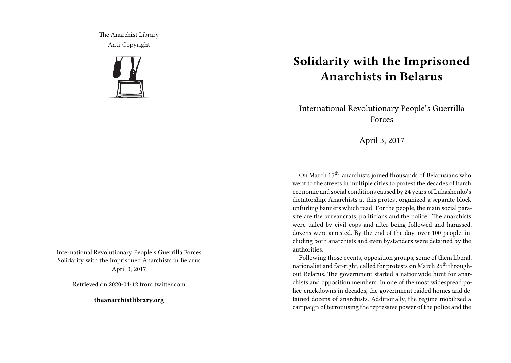The Anarchist Library Anti-Copyright



International Revolutionary People's Guerrilla Forces Solidarity with the Imprisoned Anarchists in Belarus April 3, 2017

Retrieved on 2020-04-12 from twitter.com

**theanarchistlibrary.org**

## **Solidarity with the Imprisoned Anarchists in Belarus**

International Revolutionary People's Guerrilla Forces

April 3, 2017

On March 15th, anarchists joined thousands of Belarusians who went to the streets in multiple cities to protest the decades of harsh economic and social conditions caused by 24 years of Lukashenko's dictatorship. Anarchists at this protest organized a separate block unfurling banners which read "For the people, the main social parasite are the bureaucrats, politicians and the police." The anarchists were tailed by civil cops and after being followed and harassed, dozens were arrested. By the end of the day, over 100 people, including both anarchists and even bystanders were detained by the authorities.

Following those events, opposition groups, some of them liberal, nationalist and far-right, called for protests on March 25<sup>th</sup> throughout Belarus. The government started a nationwide hunt for anarchists and opposition members. In one of the most widespread police crackdowns in decades, the government raided homes and detained dozens of anarchists. Additionally, the regime mobilized a campaign of terror using the repressive power of the police and the